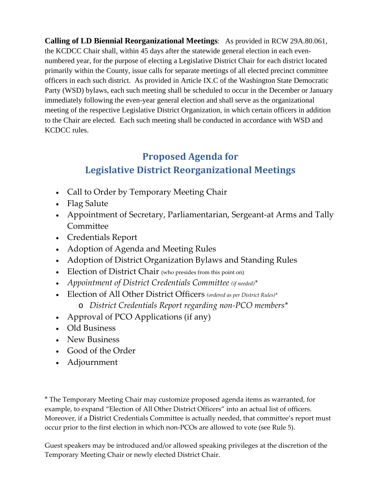**Calling of LD Biennial Reorganizational Meetings**: As provided in RCW 29A.80.061, the KCDCC Chair shall, within 45 days after the statewide general election in each evennumbered year, for the purpose of electing a Legislative District Chair for each district located primarily within the County, issue calls for separate meetings of all elected precinct committee officers in each such district. As provided in Article IX.C of the Washington State Democratic Party (WSD) bylaws, each such meeting shall be scheduled to occur in the December or January immediately following the even-year general election and shall serve as the organizational meeting of the respective Legislative District Organization, in which certain officers in addition to the Chair are elected. Each such meeting shall be conducted in accordance with WSD and KCDCC rules.

# **Proposed Agenda for Legislative District Reorganizational Meetings**

- Call to Order by Temporary Meeting Chair
- Flag Salute
- Appointment of Secretary, Parliamentarian, Sergeant‐at Arms and Tally Committee
- Credentials Report
- Adoption of Agenda and Meeting Rules
- Adoption of District Organization Bylaws and Standing Rules
- Election of District Chair (who presides from this point on)
- *Appointment of District Credentials Committee (if needed)\**
- Election of All Other District Officers *(ordered as per District Rules)\** o *District Credentials Report regarding non‐PCO members\**
- Approval of PCO Applications (if any)
- Old Business
- New Business
- Good of the Order
- Adjournment

\* The Temporary Meeting Chair may customize proposed agenda items as warranted, for example, to expand "Election of All Other District Officers" into an actual list of officers. Moreover, if a District Credentials Committee is actually needed, that committee's report must occur prior to the first election in which non‐PCOs are allowed to vote (see Rule 5).

Guest speakers may be introduced and/or allowed speaking privileges at the discretion of the Temporary Meeting Chair or newly elected District Chair.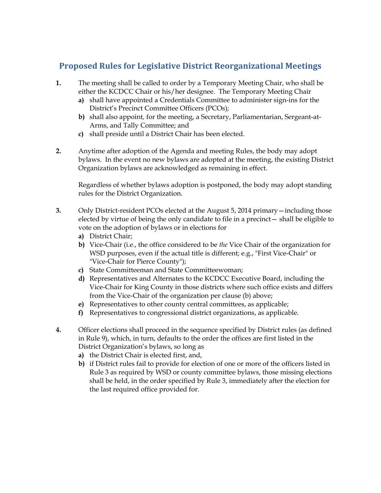# **Proposed Rules for Legislative District Reorganizational Meetings**

- **1.** The meeting shall be called to order by a Temporary Meeting Chair, who shall be either the KCDCC Chair or his/her designee. The Temporary Meeting Chair
	- **a)** shall have appointed a Credentials Committee to administer sign-ins for the District's Precinct Committee Officers (PCOs);
	- **b)** shall also appoint*,* for the meeting, a Secretary, Parliamentarian, Sergeant-at-Arms, and Tally Committee; and
	- **c)** shall preside until a District Chair has been elected.
- **2.** Anytime after adoption of the Agenda and meeting Rules, the body may adopt bylaws. In the event no new bylaws are adopted at the meeting, the existing District Organization bylaws are acknowledged as remaining in effect.

Regardless of whether bylaws adoption is postponed, the body may adopt standing rules for the District Organization.

- **3.** Only District-resident PCOs elected at the August 5, 2014 primary—including those elected by virtue of being the only candidate to file in a precinct— shall be eligible to vote on the adoption of bylaws or in elections for
	- **a)** District Chair;
	- **b)** Vice-Chair (i.e., the office considered to be *the* Vice Chair of the organization for WSD purposes, even if the actual title is different; e.g., "First Vice-Chair" or "Vice-Chair for Pierce County");
	- **c)** State Committeeman and State Committeewoman;
	- **d)** Representatives and Alternates to the KCDCC Executive Board, including the Vice-Chair for King County in those districts where such office exists and differs from the Vice-Chair of the organization per clause (b) above;
	- **e)** Representatives to other county central committees, as applicable;
	- **f)** Representatives to congressional district organizations, as applicable.
- **4.** Officer elections shall proceed in the sequence specified by District rules (as defined in Rule 9), which, in turn, defaults to the order the offices are first listed in the District Organization's bylaws, so long as
	- **a)** the District Chair is elected first, and,
	- **b)** if District rules fail to provide for election of one or more of the officers listed in Rule 3 as required by WSD or county committee bylaws, those missing elections shall be held, in the order specified by Rule 3, immediately after the election for the last required office provided for.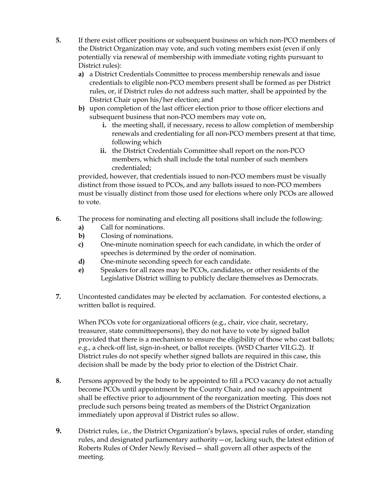- **5.** If there exist officer positions or subsequent business on which non-PCO members of the District Organization may vote, and such voting members exist (even if only potentially via renewal of membership with immediate voting rights pursuant to District rules):
	- **a)** a District Credentials Committee to process membership renewals and issue credentials to eligible non-PCO members present shall be formed as per District rules, or, if District rules do not address such matter, shall be appointed by the District Chair upon his/her election; and
	- **b)** upon completion of the last officer election prior to those officer elections and subsequent business that non-PCO members may vote on,
		- **i.** the meeting shall, if necessary, recess to allow completion of membership renewals and credentialing for all non-PCO members present at that time, following which
		- **ii.** the District Credentials Committee shall report on the non-PCO members, which shall include the total number of such members credentialed;

provided, however, that credentials issued to non-PCO members must be visually distinct from those issued to PCOs, and any ballots issued to non-PCO members must be visually distinct from those used for elections where only PCOs are allowed to vote.

- **6.** The process for nominating and electing all positions shall include the following:
	- **a)** Call for nominations.
	- **b)** Closing of nominations.
	- **c)** One-minute nomination speech for each candidate, in which the order of speeches is determined by the order of nomination.
	- **d)** One-minute seconding speech for each candidate.
	- **e)** Speakers for all races may be PCOs, candidates, or other residents of the Legislative District willing to publicly declare themselves as Democrats.
- **7.** Uncontested candidates may be elected by acclamation. For contested elections, a written ballot is required.

When PCOs vote for organizational officers (e.g., chair, vice chair, secretary, treasurer, state committeepersons), they do not have to vote by signed ballot provided that there is a mechanism to ensure the eligibility of those who cast ballots; e.g., a check-off list, sign-in-sheet, or ballot receipts. (WSD Charter VII.G.2). If District rules do not specify whether signed ballots are required in this case, this decision shall be made by the body prior to election of the District Chair.

- **8.** Persons approved by the body to be appointed to fill a PCO vacancy do not actually become PCOs until appointment by the County Chair, and no such appointment shall be effective prior to adjournment of the reorganization meeting. This does not preclude such persons being treated as members of the District Organization immediately upon approval if District rules so allow.
- **9.** District rules, i.e., the District Organization's bylaws, special rules of order, standing rules, and designated parliamentary authority—or, lacking such, the latest edition of Roberts Rules of Order Newly Revised— shall govern all other aspects of the meeting.